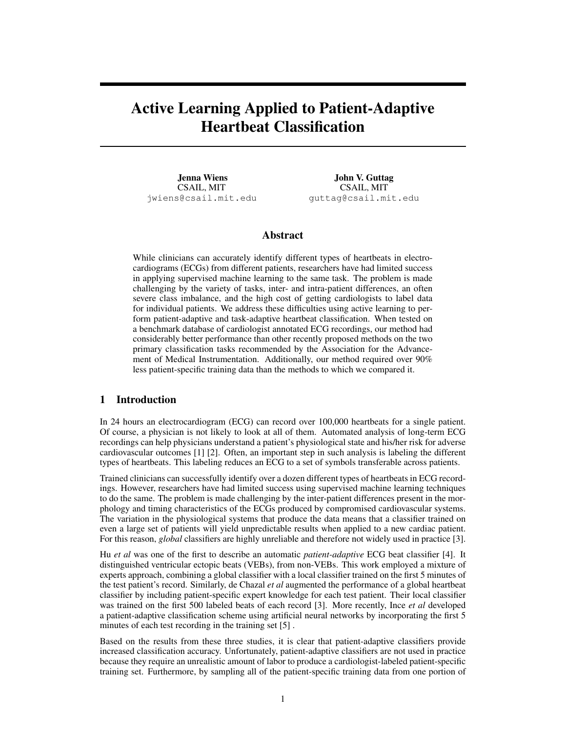# Active Learning Applied to Patient-Adaptive Heartbeat Classification

Jenna Wiens CSAIL, MIT jwiens@csail.mit.edu

John V. Guttag CSAIL, MIT guttag@csail.mit.edu

# Abstract

While clinicians can accurately identify different types of heartbeats in electrocardiograms (ECGs) from different patients, researchers have had limited success in applying supervised machine learning to the same task. The problem is made challenging by the variety of tasks, inter- and intra-patient differences, an often severe class imbalance, and the high cost of getting cardiologists to label data for individual patients. We address these difficulties using active learning to perform patient-adaptive and task-adaptive heartbeat classification. When tested on a benchmark database of cardiologist annotated ECG recordings, our method had considerably better performance than other recently proposed methods on the two primary classification tasks recommended by the Association for the Advancement of Medical Instrumentation. Additionally, our method required over 90% less patient-specific training data than the methods to which we compared it.

# 1 Introduction

In 24 hours an electrocardiogram (ECG) can record over 100,000 heartbeats for a single patient. Of course, a physician is not likely to look at all of them. Automated analysis of long-term ECG recordings can help physicians understand a patient's physiological state and his/her risk for adverse cardiovascular outcomes [1] [2]. Often, an important step in such analysis is labeling the different types of heartbeats. This labeling reduces an ECG to a set of symbols transferable across patients.

Trained clinicians can successfully identify over a dozen different types of heartbeats in ECG recordings. However, researchers have had limited success using supervised machine learning techniques to do the same. The problem is made challenging by the inter-patient differences present in the morphology and timing characteristics of the ECGs produced by compromised cardiovascular systems. The variation in the physiological systems that produce the data means that a classifier trained on even a large set of patients will yield unpredictable results when applied to a new cardiac patient. For this reason, *global* classifiers are highly unreliable and therefore not widely used in practice [3].

Hu *et al* was one of the first to describe an automatic *patient-adaptive* ECG beat classifier [4]. It distinguished ventricular ectopic beats (VEBs), from non-VEBs. This work employed a mixture of experts approach, combining a global classifier with a local classifier trained on the first 5 minutes of the test patient's record. Similarly, de Chazal *et al* augmented the performance of a global heartbeat classifier by including patient-specific expert knowledge for each test patient. Their local classifier was trained on the first 500 labeled beats of each record [3]. More recently, Ince *et al* developed a patient-adaptive classification scheme using artificial neural networks by incorporating the first 5 minutes of each test recording in the training set [5] .

Based on the results from these three studies, it is clear that patient-adaptive classifiers provide increased classification accuracy. Unfortunately, patient-adaptive classifiers are not used in practice because they require an unrealistic amount of labor to produce a cardiologist-labeled patient-specific training set. Furthermore, by sampling all of the patient-specific training data from one portion of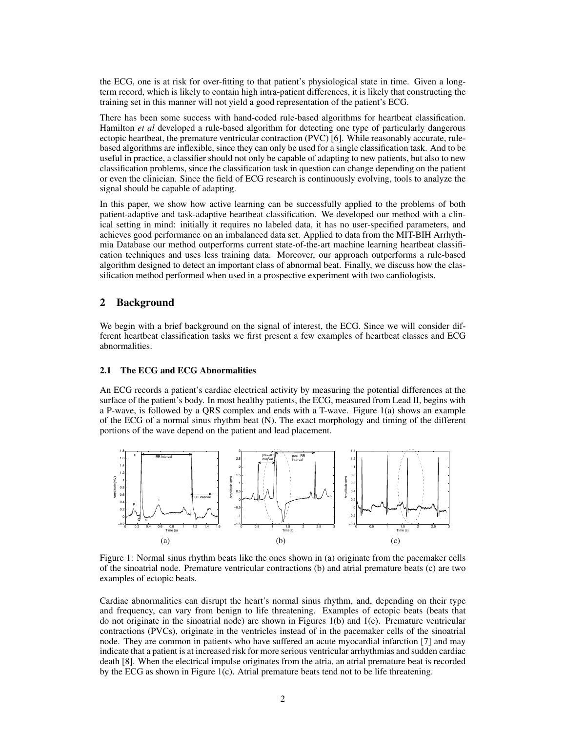the ECG, one is at risk for over-fitting to that patient's physiological state in time. Given a longterm record, which is likely to contain high intra-patient differences, it is likely that constructing the training set in this manner will not yield a good representation of the patient's ECG.

There has been some success with hand-coded rule-based algorithms for heartbeat classification. Hamilton *et al* developed a rule-based algorithm for detecting one type of particularly dangerous ectopic heartbeat, the premature ventricular contraction (PVC) [6]. While reasonably accurate, rulebased algorithms are inflexible, since they can only be used for a single classification task. And to be useful in practice, a classifier should not only be capable of adapting to new patients, but also to new classification problems, since the classification task in question can change depending on the patient or even the clinician. Since the field of ECG research is continuously evolving, tools to analyze the signal should be capable of adapting.

In this paper, we show how active learning can be successfully applied to the problems of both patient-adaptive and task-adaptive heartbeat classification. We developed our method with a clinical setting in mind: initially it requires no labeled data, it has no user-specified parameters, and achieves good performance on an imbalanced data set. Applied to data from the MIT-BIH Arrhythmia Database our method outperforms current state-of-the-art machine learning heartbeat classification techniques and uses less training data. Moreover, our approach outperforms a rule-based algorithm designed to detect an important class of abnormal beat. Finally, we discuss how the classification method performed when used in a prospective experiment with two cardiologists.

# 2 Background

We begin with a brief background on the signal of interest, the ECG. Since we will consider different heartbeat classification tasks we first present a few examples of heartbeat classes and ECG abnormalities.

## 2.1 The ECG and ECG Abnormalities

An ECG records a patient's cardiac electrical activity by measuring the potential differences at the surface of the patient's body. In most healthy patients, the ECG, measured from Lead II, begins with a P-wave, is followed by a QRS complex and ends with a T-wave. Figure 1(a) shows an example of the ECG of a normal sinus rhythm beat (N). The exact morphology and timing of the different portions of the wave depend on the patient and lead placement.



Figure 1: Normal sinus rhythm beats like the ones shown in (a) originate from the pacemaker cells of the sinoatrial node. Premature ventricular contractions (b) and atrial premature beats (c) are two examples of ectopic beats.

Cardiac abnormalities can disrupt the heart's normal sinus rhythm, and, depending on their type and frequency, can vary from benign to life threatening. Examples of ectopic beats (beats that do not originate in the sinoatrial node) are shown in Figures 1(b) and 1(c). Premature ventricular contractions (PVCs), originate in the ventricles instead of in the pacemaker cells of the sinoatrial node. They are common in patients who have suffered an acute myocardial infarction [7] and may indicate that a patient is at increased risk for more serious ventricular arrhythmias and sudden cardiac death [8]. When the electrical impulse originates from the atria, an atrial premature beat is recorded by the ECG as shown in Figure 1(c). Atrial premature beats tend not to be life threatening.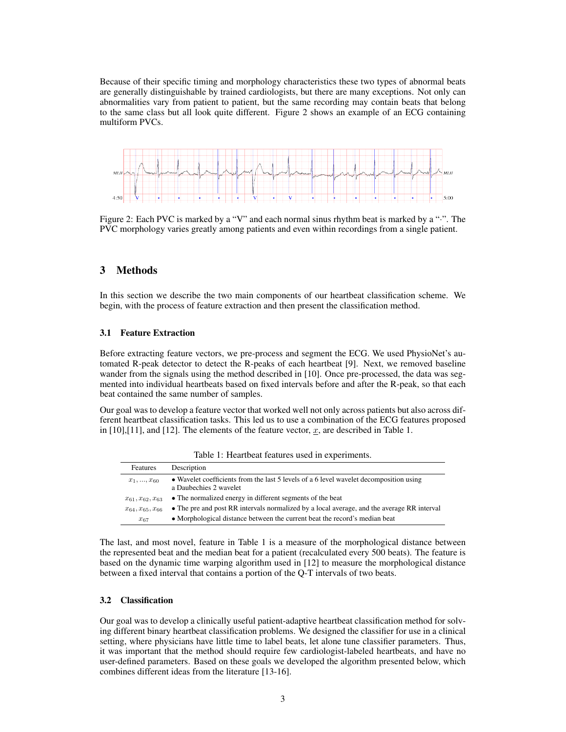Because of their specific timing and morphology characteristics these two types of abnormal beats are generally distinguishable by trained cardiologists, but there are many exceptions. Not only can abnormalities vary from patient to patient, but the same recording may contain beats that belong to the same class but all look quite different. Figure 2 shows an example of an ECG containing multiform PVCs.



Figure 2: Each PVC is marked by a "V" and each normal sinus rhythm beat is marked by a ".". The PVC morphology varies greatly among patients and even within recordings from a single patient.

# 3 Methods

In this section we describe the two main components of our heartbeat classification scheme. We begin, with the process of feature extraction and then present the classification method.

#### 3.1 Feature Extraction

Before extracting feature vectors, we pre-process and segment the ECG. We used PhysioNet's automated R-peak detector to detect the R-peaks of each heartbeat [9]. Next, we removed baseline wander from the signals using the method described in [10]. Once pre-processed, the data was segmented into individual heartbeats based on fixed intervals before and after the R-peak, so that each beat contained the same number of samples.

Our goal was to develop a feature vector that worked well not only across patients but also across different heartbeat classification tasks. This led us to use a combination of the ECG features proposed in [10],[11], and [12]. The elements of the feature vector,  $x$ , are described in Table 1.

| Features                 | Description                                                                                                      |
|--------------------------|------------------------------------------------------------------------------------------------------------------|
| $x_1, , x_{60}$          | • Wavelet coefficients from the last 5 levels of a 6 level wavelet decomposition using<br>a Daubechies 2 wavelet |
| $x_{61}, x_{62}, x_{63}$ | • The normalized energy in different segments of the beat                                                        |
| $x_{64}, x_{65}, x_{66}$ | • The pre and post RR intervals normalized by a local average, and the average RR interval                       |
| $x_{67}$                 | • Morphological distance between the current beat the record's median beat                                       |

Table 1: Heartbeat features used in experiments.

The last, and most novel, feature in Table 1 is a measure of the morphological distance between the represented beat and the median beat for a patient (recalculated every 500 beats). The feature is based on the dynamic time warping algorithm used in [12] to measure the morphological distance between a fixed interval that contains a portion of the Q-T intervals of two beats.

#### 3.2 Classification

Our goal was to develop a clinically useful patient-adaptive heartbeat classification method for solving different binary heartbeat classification problems. We designed the classifier for use in a clinical setting, where physicians have little time to label beats, let alone tune classifier parameters. Thus, it was important that the method should require few cardiologist-labeled heartbeats, and have no user-defined parameters. Based on these goals we developed the algorithm presented below, which combines different ideas from the literature [13-16].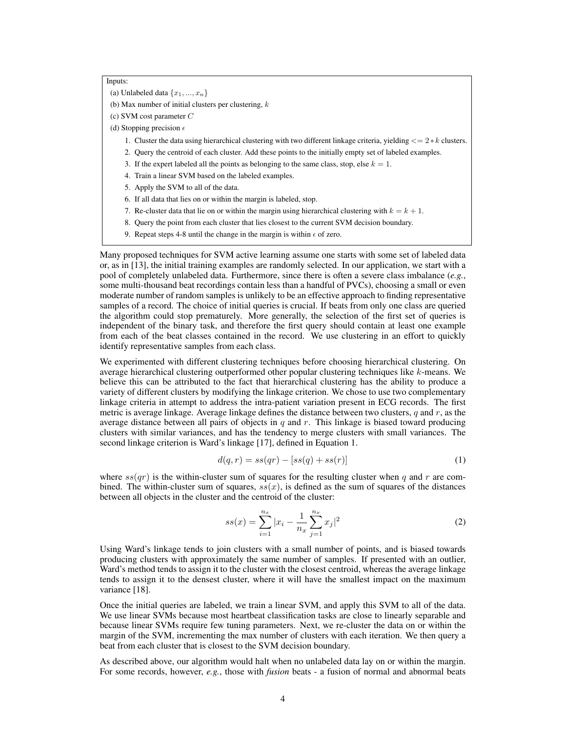Inputs:

(a) Unlabeled data  $\{x_1, ..., x_n\}$ 

(b) Max number of initial clusters per clustering,  $k$ 

(c) SVM cost parameter C

(d) Stopping precision  $\epsilon$ 

- 1. Cluster the data using hierarchical clustering with two different linkage criteria, yielding  $\langle = 2 \times k \rangle$  clusters.
- 2. Query the centroid of each cluster. Add these points to the initially empty set of labeled examples.
- 3. If the expert labeled all the points as belonging to the same class, stop, else  $k = 1$ .
- 4. Train a linear SVM based on the labeled examples.
- 5. Apply the SVM to all of the data.
- 6. If all data that lies on or within the margin is labeled, stop.
- 7. Re-cluster data that lie on or within the margin using hierarchical clustering with  $k = k + 1$ .
- 8. Query the point from each cluster that lies closest to the current SVM decision boundary.
- 9. Repeat steps 4-8 until the change in the margin is within  $\epsilon$  of zero.

Many proposed techniques for SVM active learning assume one starts with some set of labeled data or, as in [13], the initial training examples are randomly selected. In our application, we start with a pool of completely unlabeled data. Furthermore, since there is often a severe class imbalance (*e.g.*, some multi-thousand beat recordings contain less than a handful of PVCs), choosing a small or even moderate number of random samples is unlikely to be an effective approach to finding representative samples of a record. The choice of initial queries is crucial. If beats from only one class are queried the algorithm could stop prematurely. More generally, the selection of the first set of queries is independent of the binary task, and therefore the first query should contain at least one example from each of the beat classes contained in the record. We use clustering in an effort to quickly identify representative samples from each class.

We experimented with different clustering techniques before choosing hierarchical clustering. On average hierarchical clustering outperformed other popular clustering techniques like  $k$ -means. We believe this can be attributed to the fact that hierarchical clustering has the ability to produce a variety of different clusters by modifying the linkage criterion. We chose to use two complementary linkage criteria in attempt to address the intra-patient variation present in ECG records. The first metric is average linkage. Average linkage defines the distance between two clusters,  $q$  and  $r$ , as the average distance between all pairs of objects in  $q$  and  $r$ . This linkage is biased toward producing clusters with similar variances, and has the tendency to merge clusters with small variances. The second linkage criterion is Ward's linkage [17], defined in Equation 1.

$$
d(q, r) = ss(qr) - [ss(q) + ss(r)]
$$
 (1)

where  $ss(qr)$  is the within-cluster sum of squares for the resulting cluster when q and r are combined. The within-cluster sum of squares,  $ss(x)$ , is defined as the sum of squares of the distances between all objects in the cluster and the centroid of the cluster:

$$
ss(x) = \sum_{i=1}^{n_x} |x_i - \frac{1}{n_x} \sum_{j=1}^{n_x} x_j|^2
$$
 (2)

Using Ward's linkage tends to join clusters with a small number of points, and is biased towards producing clusters with approximately the same number of samples. If presented with an outlier, Ward's method tends to assign it to the cluster with the closest centroid, whereas the average linkage tends to assign it to the densest cluster, where it will have the smallest impact on the maximum variance [18].

Once the initial queries are labeled, we train a linear SVM, and apply this SVM to all of the data. We use linear SVMs because most heartbeat classification tasks are close to linearly separable and because linear SVMs require few tuning parameters. Next, we re-cluster the data on or within the margin of the SVM, incrementing the max number of clusters with each iteration. We then query a beat from each cluster that is closest to the SVM decision boundary.

As described above, our algorithm would halt when no unlabeled data lay on or within the margin. For some records, however, *e.g.*, those with *fusion* beats - a fusion of normal and abnormal beats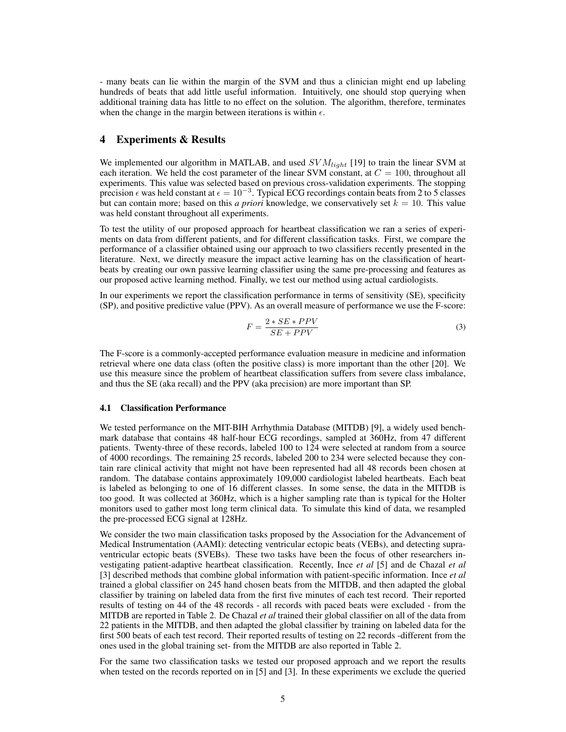- many beats can lie within the margin of the SVM and thus a clinician might end up labeling hundreds of beats that add little useful information. Intuitively, one should stop querying when additional training data has little to no effect on the solution. The algorithm, therefore, terminates when the change in the margin between iterations is within  $\epsilon$ .

# 4 Experiments & Results

We implemented our algorithm in MATLAB, and used  $SVM_{light}$  [19] to train the linear SVM at each iteration. We held the cost parameter of the linear SVM constant, at  $C = 100$ , throughout all experiments. This value was selected based on previous cross-validation experiments. The stopping precision  $\epsilon$  was held constant at  $\epsilon = 10^{-3}$ . Typical ECG recordings contain beats from 2 to 5 classes but can contain more; based on this *a priori* knowledge, we conservatively set  $k = 10$ . This value was held constant throughout all experiments.

To test the utility of our proposed approach for heartbeat classification we ran a series of experiments on data from different patients, and for different classification tasks. First, we compare the performance of a classifier obtained using our approach to two classifiers recently presented in the literature. Next, we directly measure the impact active learning has on the classification of heartbeats by creating our own passive learning classifier using the same pre-processing and features as our proposed active learning method. Finally, we test our method using actual cardiologists.

In our experiments we report the classification performance in terms of sensitivity (SE), specificity (SP), and positive predictive value (PPV). As an overall measure of performance we use the F-score:

$$
F = \frac{2 * SE * PPV}{SE + PPV}
$$
\n(3)

The F-score is a commonly-accepted performance evaluation measure in medicine and information retrieval where one data class (often the positive class) is more important than the other [20]. We use this measure since the problem of heartbeat classification suffers from severe class imbalance, and thus the SE (aka recall) and the PPV (aka precision) are more important than SP.

#### 4.1 Classification Performance

We tested performance on the MIT-BIH Arrhythmia Database (MITDB) [9], a widely used benchmark database that contains 48 half-hour ECG recordings, sampled at 360Hz, from 47 different patients. Twenty-three of these records, labeled 100 to 124 were selected at random from a source of 4000 recordings. The remaining 25 records, labeled 200 to 234 were selected because they contain rare clinical activity that might not have been represented had all 48 records been chosen at random. The database contains approximately 109,000 cardiologist labeled heartbeats. Each beat is labeled as belonging to one of 16 different classes. In some sense, the data in the MITDB is too good. It was collected at 360Hz, which is a higher sampling rate than is typical for the Holter monitors used to gather most long term clinical data. To simulate this kind of data, we resampled the pre-processed ECG signal at 128Hz.

We consider the two main classification tasks proposed by the Association for the Advancement of Medical Instrumentation (AAMI): detecting ventricular ectopic beats (VEBs), and detecting supraventricular ectopic beats (SVEBs). These two tasks have been the focus of other researchers investigating patient-adaptive heartbeat classification. Recently, Ince *et al* [5] and de Chazal *et al* [3] described methods that combine global information with patient-specific information. Ince *et al* trained a global classifier on 245 hand chosen beats from the MITDB, and then adapted the global classifier by training on labeled data from the first five minutes of each test record. Their reported results of testing on 44 of the 48 records - all records with paced beats were excluded - from the MITDB are reported in Table 2. De Chazal *et al* trained their global classifier on all of the data from 22 patients in the MITDB, and then adapted the global classifier by training on labeled data for the first 500 beats of each test record. Their reported results of testing on 22 records -different from the ones used in the global training set- from the MITDB are also reported in Table 2.

For the same two classification tasks we tested our proposed approach and we report the results when tested on the records reported on in [5] and [3]. In these experiments we exclude the queried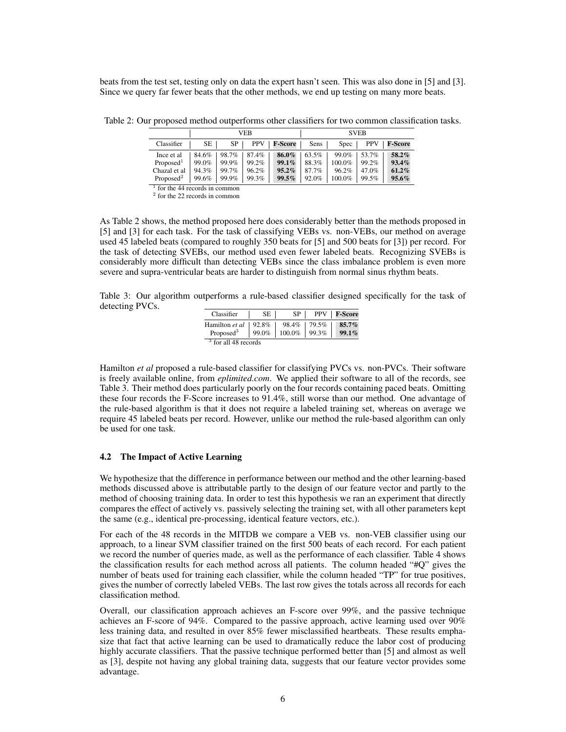beats from the test set, testing only on data the expert hasn't seen. This was also done in [5] and [3]. Since we query far fewer beats that the other methods, we end up testing on many more beats.

|                       | VEB   |       |            |                | <b>SVEB</b> |        |            |          |
|-----------------------|-------|-------|------------|----------------|-------------|--------|------------|----------|
| Classifier            | SE.   | SP.   | <b>PPV</b> | <b>F-Score</b> | Sens        | Spec   | <b>PPV</b> | F-Score  |
| Ince et al            | 84.6% | 98.7% | 87.4%      | 86.0%          | 63.5%       | 99.0%  | 53.7%      | 58.2%    |
| Proposed <sup>1</sup> | 99.0% | 99.9% | 99.2%      | $99.1\%$       | 88.3%       | 100.0% | 99.2%      | 93.4%    |
| Chazal et al          | 94.3% | 99.7% | 96.2%      | $95.2\%$       | 87.7%       | 96.2%  | 47.0%      | $61.2\%$ |
| Proposed <sup>2</sup> | 99.6% | 99.9% | 99.3%      | $99.5\%$       | 92.0%       | 100.0% | 99.5%      | $95.6\%$ |
| .                     | . .   |       |            |                |             |        |            |          |

Table 2: Our proposed method outperforms other classifiers for two common classification tasks.

<sup>1</sup> for the 44 records in common 2 for the 22 records in common

As Table 2 shows, the method proposed here does considerably better than the methods proposed in [5] and [3] for each task. For the task of classifying VEBs vs. non-VEBs, our method on average used 45 labeled beats (compared to roughly 350 beats for [5] and 500 beats for [3]) per record. For the task of detecting SVEBs, our method used even fewer labeled beats. Recognizing SVEBs is considerably more difficult than detecting VEBs since the class imbalance problem is even more severe and supra-ventricular beats are harder to distinguish from normal sinus rhythm beats.

Table 3: Our algorithm outperforms a rule-based classifier designed specifically for the task of detecting PVCs.

| Classifier                      | SE    | SP.       |       | <b>PPV</b> F-Score |
|---------------------------------|-------|-----------|-------|--------------------|
| Hamilton et al                  | 92.8% | 98.4%     | 79.5% | $85.7\%$           |
| Proposed <sup>3</sup>           | 99.0% | $100.0\%$ | 99.3% | $99.1\%$           |
| <sup>3</sup> for all 48 records |       |           |       |                    |

Hamilton *et al* proposed a rule-based classifier for classifying PVCs vs. non-PVCs. Their software is freely available online, from *eplimited.com*. We applied their software to all of the records, see Table 3. Their method does particularly poorly on the four records containing paced beats. Omitting these four records the F-Score increases to 91.4%, still worse than our method. One advantage of the rule-based algorithm is that it does not require a labeled training set, whereas on average we require 45 labeled beats per record. However, unlike our method the rule-based algorithm can only be used for one task.

#### 4.2 The Impact of Active Learning

We hypothesize that the difference in performance between our method and the other learning-based methods discussed above is attributable partly to the design of our feature vector and partly to the method of choosing training data. In order to test this hypothesis we ran an experiment that directly compares the effect of actively vs. passively selecting the training set, with all other parameters kept the same (e.g., identical pre-processing, identical feature vectors, etc.).

For each of the 48 records in the MITDB we compare a VEB vs. non-VEB classifier using our approach, to a linear SVM classifier trained on the first 500 beats of each record. For each patient we record the number of queries made, as well as the performance of each classifier. Table 4 shows the classification results for each method across all patients. The column headed "#Q" gives the number of beats used for training each classifier, while the column headed "TP" for true positives, gives the number of correctly labeled VEBs. The last row gives the totals across all records for each classification method.

Overall, our classification approach achieves an F-score over 99%, and the passive technique achieves an F-score of 94%. Compared to the passive approach, active learning used over 90% less training data, and resulted in over 85% fewer misclassified heartbeats. These results emphasize that fact that active learning can be used to dramatically reduce the labor cost of producing highly accurate classifiers. That the passive technique performed better than [5] and almost as well as [3], despite not having any global training data, suggests that our feature vector provides some advantage.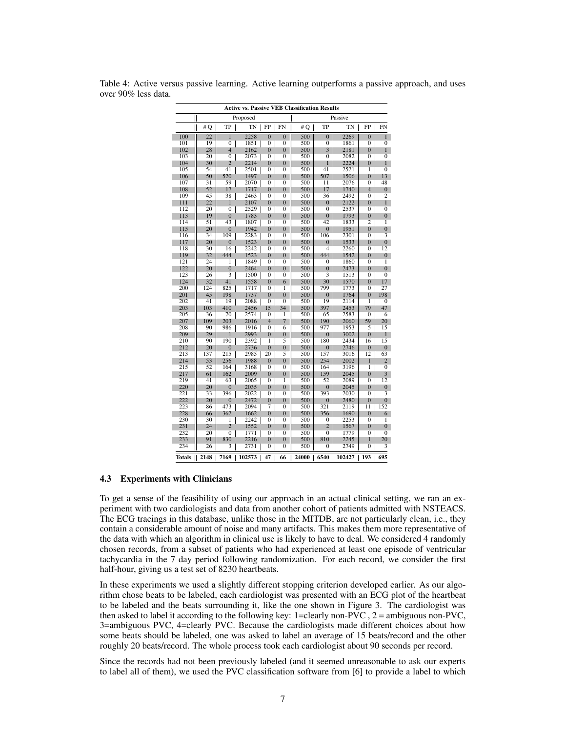| <b>Active vs. Passive VEB Classification Results</b> |                |                |        |                |                  |            |                  |         |                |                  |
|------------------------------------------------------|----------------|----------------|--------|----------------|------------------|------------|------------------|---------|----------------|------------------|
|                                                      | II<br>Proposed |                |        |                |                  |            |                  | Passive |                |                  |
|                                                      | #Q             | TP             | TN     | FP             | FN               | #O         | TP               | TN      | FP             | <b>FN</b>        |
| 100                                                  | 22             | 1              | 2258   | $\overline{0}$ | $\overline{0}$   | 500        | $\overline{0}$   | 2269    | $\overline{0}$ | $\mathbf{1}$     |
| 101                                                  | 19             | $\overline{0}$ | 1851   | $\overline{0}$ | $\overline{0}$   | 500        | $\overline{0}$   | 1861    | $\overline{0}$ | $\overline{0}$   |
| 102                                                  | 28             | $\overline{4}$ | 2162   | $\overline{0}$ | $\bf{0}$         | 500        | 3                | 2181    | $\overline{0}$ | $\mathbf{1}$     |
| 103                                                  | 20             | $\overline{0}$ | 2073   | $\mathbf{0}$   | 0                | 500        | 0                | 2082    | $\mathbf{0}$   | $\overline{0}$   |
| 104                                                  | 30             | $\overline{2}$ | 2214   | $\theta$       | $\overline{0}$   | 500        | 1                | 2224    | $\overline{0}$ | $\mathbf{1}$     |
| 105                                                  | 54             | 41             | 2501   | $\overline{0}$ | $\overline{0}$   | 500        | $\overline{41}$  | 2521    | $\overline{1}$ | $\overline{0}$   |
| 106                                                  | 50             | 520            | 1497   | $\mathbf{0}$   | $\boldsymbol{0}$ | 500        | 507              | 1506    | $\bf{0}$       | 13               |
| 107                                                  | 31             | 59             | 2070   | $\mathbf{0}$   | $\mathbf{0}$     | 500        | 11               | 2076    | $\mathbf{0}$   | 48               |
| 108                                                  | 52             | 17             | 1717   | $\Omega$       | $\overline{0}$   | 500        | 17               | 1740    | $\overline{4}$ | $\overline{0}$   |
| 109                                                  | 45             | 38             | 2463   | $\overline{0}$ | $\overline{0}$   | 500        | 36               | 2492    | $\overline{0}$ | $\overline{2}$   |
| 111                                                  | 22             | 1              | 2107   | $\overline{0}$ | $\overline{0}$   | 500        | $\overline{0}$   | 2122    | $\overline{0}$ | $\mathbf{1}$     |
| 112                                                  | 20             | $\overline{0}$ | 2529   | $\mathbf{0}$   | 0                | 500        | $\mathbf{0}$     | 2537    | $\mathbf{0}$   | $\overline{0}$   |
| 113                                                  | 19             | $\Omega$       | 1783   | $\theta$       | $\overline{0}$   | 500        | $\overline{0}$   | 1793    | $\theta$       | $\overline{0}$   |
| 114                                                  | 51             | 43             | 1807   | $\overline{0}$ | 0                | 500        | 42               | 1833    | $\overline{2}$ | $\overline{1}$   |
| 115                                                  | 20             | $\overline{0}$ | 1942   | $\overline{0}$ | $\overline{0}$   | 500        | $\boldsymbol{0}$ | 1951    | $\overline{0}$ | $\boldsymbol{0}$ |
| 116                                                  | 34             | 109            | 2283   | $\Omega$       | 0                | 500        | 106              | 2301    | 0              |                  |
| 117                                                  | 20             | $\overline{0}$ | 1523   | $\overline{0}$ | $\overline{0}$   | 500        | $\overline{0}$   | 1533    | $\overline{0}$ | $\overline{0}$   |
| 118                                                  | 30             | 16             | 2242   | $\overline{0}$ | $\overline{0}$   | 500        | 4                | 2260    | $\overline{0}$ | 12               |
| 119                                                  | 32             | 444            | 1523   | $\overline{0}$ | $\overline{0}$   | 500        | 444              | 1542    | $\overline{0}$ | $\overline{0}$   |
| 121                                                  | 24             | 1              | 1849   | $\theta$       | $\mathbf{0}$     | 500        | $\overline{0}$   | 1860    | $\mathbf{0}$   | $\overline{1}$   |
| 122                                                  | 20             | $\overline{0}$ | 2464   | $\overline{0}$ | $\overline{0}$   | 500        | $\overline{0}$   | 2473    | $\overline{0}$ | $\overline{0}$   |
| 123                                                  | 26             | 3              | 1500   | $\mathbf{0}$   | $\mathbf{0}$     | 500        | 3                | 1513    | $\mathbf{0}$   | $\mathbf{0}$     |
| 124                                                  | 32             | 41             | 1558   | $\overline{0}$ | 6                | 500        | 30               | 1570    | $\overline{0}$ | 17               |
| 200                                                  | 124            | 825            | 1717   | $\overline{0}$ | $\overline{1}$   | 500        | 799              | 1773    | $\overline{0}$ | 27               |
| 201                                                  | 45             | 198            | 1737   | $\overline{0}$ | $\overline{0}$   | 500        | $\overline{0}$   | 1764    | $\overline{0}$ | 198              |
| 202                                                  | 41             | 19             | 2088   | $\mathbf{0}$   | 0                | 500        | 19               | 2114    | 1              | 0                |
| 203                                                  | 103            | 410            | 2456   | 15             | 34               | 500        | 397              | 2453    | 79             | 47               |
| 205                                                  | 36             | 70             | 2574   | $\overline{0}$ | 1                | 500        | 65               | 2583    | $\mathbf{0}$   | 6                |
| 207                                                  | 109            | 203            | 2016   | $\overline{4}$ | 7                | 500        | 190              | 2060    | 59             | 20               |
| 208                                                  | 90             | 986            | 1916   | $\mathbf{0}$   | 6                | 500        | 977              | 1953    | 5              | 15               |
| 209                                                  | 29             | 1              | 2993   | $\overline{0}$ | $\overline{0}$   | 500        | $\overline{0}$   | 3002    | $\overline{0}$ | $\mathbf{1}$     |
| 210                                                  | 90             | 190            | 2392   | 1              | 5                | 500        | 180              | 2434    | 16             | 15               |
| 212                                                  | 20             | $\bf{0}$       | 2736   | $\bf{0}$       | $\bf{0}$         | 500        | $\bf{0}$         | 2746    | $\bf{0}$       | $\bf{0}$         |
| 213                                                  | 137            | 215            | 2985   | 20             | 5                | 500        | 157              | 3016    | 12             | 63               |
| 214                                                  | 53             | 256            | 1988   | $\overline{0}$ | $\overline{0}$   | 500        | 254              | 2002    | 1              | 2                |
| 215                                                  | 52             | 164            | 3168   | $\mathbf{0}$   | $\mathbf{0}$     | 500        | 164              | 3196    | 1              | $\overline{0}$   |
| 217                                                  | 61             | 162            | 2009   | $\overline{0}$ | $\bf{0}$         | 500        | 159              | 2045    | $\overline{0}$ | 3                |
| 219                                                  | 41             | 63             | 2065   | $\mathbf{0}$   | $\overline{1}$   | 500        | 52               | 2089    | $\mathbf{0}$   | 12               |
| 220                                                  | 20             | $\bf{0}$       | 2035   | $\theta$       | $\overline{0}$   | 500        | $\overline{0}$   | 2045    | $\overline{0}$ | $\overline{0}$   |
| 221                                                  | 33             | 396            | 2022   | $\overline{0}$ | $\overline{0}$   | 500        | 393              | 2030    | $\overline{0}$ |                  |
| 222                                                  | 20             | $\overline{0}$ | 2472   | $\overline{0}$ | $\bf{0}$         | 500        | $\overline{0}$   | 2480    | $\overline{0}$ | $\overline{0}$   |
| 223                                                  | 86             | 473            | 2094   | 7              | 0                | 500        | 321              | 2119    | 11             | 152              |
| 228                                                  | 66             | 362            | 1662   | $\theta$       | $\overline{0}$   | 500        | 356              | 1690    | $\overline{0}$ | 6                |
| 230                                                  | 30             | 1              | 2242   | $\overline{0}$ | $\overline{0}$   | 500        | 0                | 2253    | $\mathbf{0}$   | 1                |
| 231                                                  | 24             | $\overline{2}$ | 1552   | $\overline{0}$ | $\overline{0}$   | 500        | $\overline{2}$   | 1567    | $\overline{0}$ | $\overline{0}$   |
| 232                                                  | 20             | $\mathbf{0}$   | 1771   | $\mathbf{0}$   | 0                | 500        | 0                | 1779    | $\overline{0}$ | $\overline{0}$   |
| 233                                                  | 91             | 830            | 2216   | $\overline{0}$ | $\overline{0}$   | 500        | 810              | 2245    | 1              | 20               |
| 234                                                  | 26             | 3              | 2731   | $\mathbf{0}$   | $\mathbf{0}$     | 500        | 0                | 2749    | $\mathbf{0}$   | 3                |
| Totals                                               | 2148           | 7169           | 102573 | 47             | 66               | Ш<br>24000 | 6540             | 102427  | 193            | 695              |

Table 4: Active versus passive learning. Active learning outperforms a passive approach, and uses over 90% less data.

## 4.3 Experiments with Clinicians

To get a sense of the feasibility of using our approach in an actual clinical setting, we ran an experiment with two cardiologists and data from another cohort of patients admitted with NSTEACS. The ECG tracings in this database, unlike those in the MITDB, are not particularly clean, i.e., they contain a considerable amount of noise and many artifacts. This makes them more representative of the data with which an algorithm in clinical use is likely to have to deal. We considered 4 randomly chosen records, from a subset of patients who had experienced at least one episode of ventricular tachycardia in the 7 day period following randomization. For each record, we consider the first half-hour, giving us a test set of 8230 heartbeats.

In these experiments we used a slightly different stopping criterion developed earlier. As our algorithm chose beats to be labeled, each cardiologist was presented with an ECG plot of the heartbeat to be labeled and the beats surrounding it, like the one shown in Figure 3. The cardiologist was then asked to label it according to the following key: 1=clearly non-PVC,  $2 =$  ambiguous non-PVC, 3=ambiguous PVC, 4=clearly PVC. Because the cardiologists made different choices about how some beats should be labeled, one was asked to label an average of 15 beats/record and the other roughly 20 beats/record. The whole process took each cardiologist about 90 seconds per record.

Since the records had not been previously labeled (and it seemed unreasonable to ask our experts to label all of them), we used the PVC classification software from [6] to provide a label to which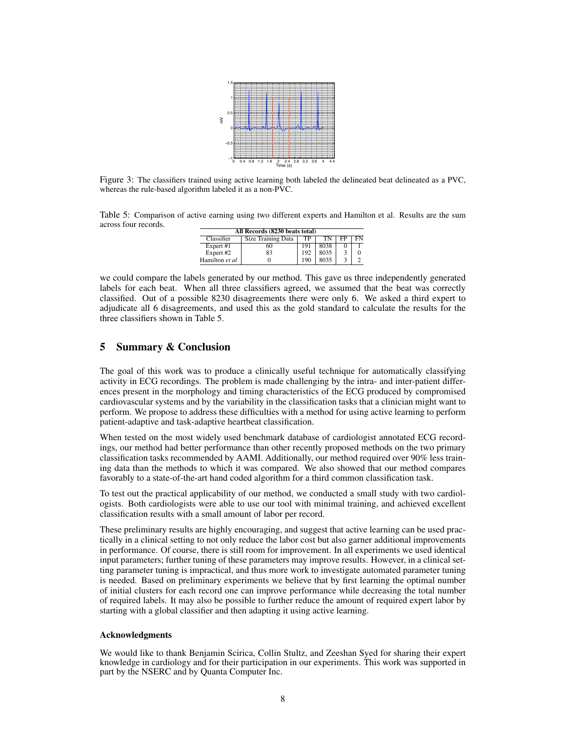

Figure 3: The classifiers trained using active learning both labeled the delineated beat delineated as a PVC, whereas the rule-based algorithm labeled it as a non-PVC.

Table 5: Comparison of active earning using two different experts and Hamilton et al. Results are the sum across four records.

| All Records (8230 beats total) |                           |     |      |        |    |  |  |  |  |
|--------------------------------|---------------------------|-----|------|--------|----|--|--|--|--|
| Classifier                     | <b>Size Training Data</b> | TP  | TN   | FP     | FN |  |  |  |  |
| Expert #1                      | 60                        | 191 | 8038 | $_{0}$ |    |  |  |  |  |
| Expert #2                      | 83                        | 192 | 8035 | 3      | 0  |  |  |  |  |
| Hamilton et al                 |                           | 190 | 8035 |        |    |  |  |  |  |

we could compare the labels generated by our method. This gave us three independently generated labels for each beat. When all three classifiers agreed, we assumed that the beat was correctly classified. Out of a possible 8230 disagreements there were only 6. We asked a third expert to adjudicate all 6 disagreements, and used this as the gold standard to calculate the results for the three classifiers shown in Table 5.

# 5 Summary & Conclusion

The goal of this work was to produce a clinically useful technique for automatically classifying activity in ECG recordings. The problem is made challenging by the intra- and inter-patient differences present in the morphology and timing characteristics of the ECG produced by compromised cardiovascular systems and by the variability in the classification tasks that a clinician might want to perform. We propose to address these difficulties with a method for using active learning to perform patient-adaptive and task-adaptive heartbeat classification.

When tested on the most widely used benchmark database of cardiologist annotated ECG recordings, our method had better performance than other recently proposed methods on the two primary classification tasks recommended by AAMI. Additionally, our method required over 90% less training data than the methods to which it was compared. We also showed that our method compares favorably to a state-of-the-art hand coded algorithm for a third common classification task.

To test out the practical applicability of our method, we conducted a small study with two cardiologists. Both cardiologists were able to use our tool with minimal training, and achieved excellent classification results with a small amount of labor per record.

These preliminary results are highly encouraging, and suggest that active learning can be used practically in a clinical setting to not only reduce the labor cost but also garner additional improvements in performance. Of course, there is still room for improvement. In all experiments we used identical input parameters; further tuning of these parameters may improve results. However, in a clinical setting parameter tuning is impractical, and thus more work to investigate automated parameter tuning is needed. Based on preliminary experiments we believe that by first learning the optimal number of initial clusters for each record one can improve performance while decreasing the total number of required labels. It may also be possible to further reduce the amount of required expert labor by starting with a global classifier and then adapting it using active learning.

# Acknowledgments

We would like to thank Benjamin Scirica, Collin Stultz, and Zeeshan Syed for sharing their expert knowledge in cardiology and for their participation in our experiments. This work was supported in part by the NSERC and by Quanta Computer Inc.